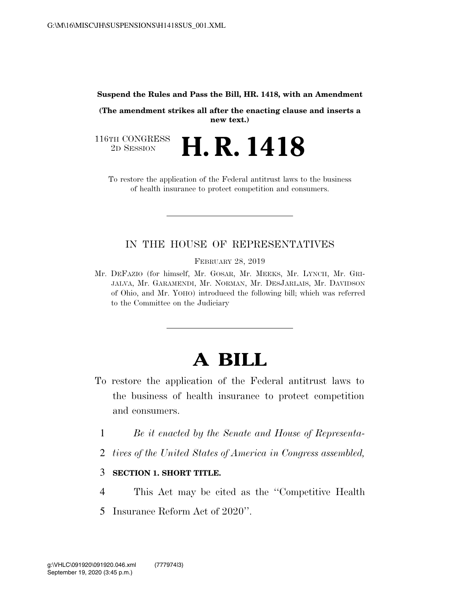#### **Suspend the Rules and Pass the Bill, HR. 1418, with an Amendment**

**(The amendment strikes all after the enacting clause and inserts a new text.)** 

116TH CONGRESS<br>2D SESSION 2D SESSION **H. R. 1418** 

To restore the application of the Federal antitrust laws to the business of health insurance to protect competition and consumers.

### IN THE HOUSE OF REPRESENTATIVES

FEBRUARY 28, 2019

Mr. DEFAZIO (for himself, Mr. GOSAR, Mr. MEEKS, Mr. LYNCH, Mr. GRI-JALVA, Mr. GARAMENDI, Mr. NORMAN, Mr. DESJARLAIS, Mr. DAVIDSON of Ohio, and Mr. YOHO) introduced the following bill; which was referred to the Committee on the Judiciary

# **A BILL**

- To restore the application of the Federal antitrust laws to the business of health insurance to protect competition and consumers.
	- 1 *Be it enacted by the Senate and House of Representa-*
	- 2 *tives of the United States of America in Congress assembled,*

#### 3 **SECTION 1. SHORT TITLE.**

- 4 This Act may be cited as the ''Competitive Health
- 5 Insurance Reform Act of 2020''.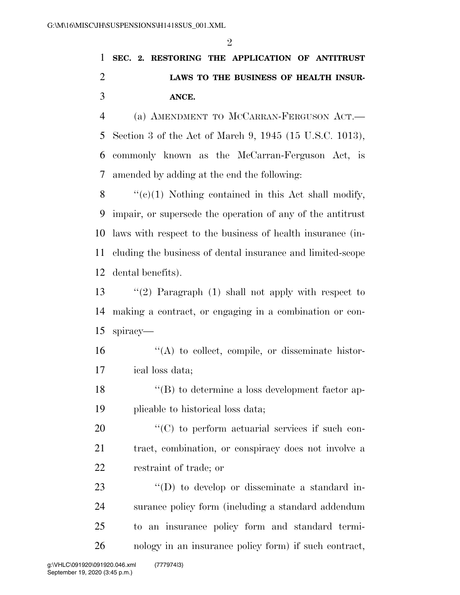## **SEC. 2. RESTORING THE APPLICATION OF ANTITRUST LAWS TO THE BUSINESS OF HEALTH INSUR-ANCE.**

 (a) AMENDMENT TO MCCARRAN-FERGUSON ACT.— Section 3 of the Act of March 9, 1945 (15 U.S.C. 1013), commonly known as the McCarran-Ferguson Act, is amended by adding at the end the following:

 $\aleph$  "(e)(1) Nothing contained in this Act shall modify, impair, or supersede the operation of any of the antitrust laws with respect to the business of health insurance (in- cluding the business of dental insurance and limited-scope dental benefits).

 ''(2) Paragraph (1) shall not apply with respect to making a contract, or engaging in a combination or con-spiracy—

- ''(A) to collect, compile, or disseminate histor-ical loss data;
- ''(B) to determine a loss development factor ap-plicable to historical loss data;
- 20  $\langle ^{\prime}(C) \rangle$  to perform actuarial services if such con- tract, combination, or conspiracy does not involve a restraint of trade; or

 $\langle\text{CD}\rangle$  to develop or disseminate a standard in- surance policy form (including a standard addendum to an insurance policy form and standard termi-nology in an insurance policy form) if such contract,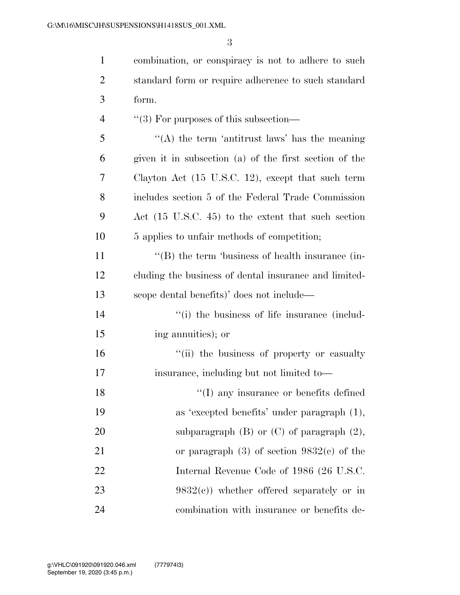combination, or conspiracy is not to adhere to such

| $\overline{2}$ | standard form or require adherence to such standard    |
|----------------|--------------------------------------------------------|
| 3              | form.                                                  |
| $\overline{4}$ | $\lq(3)$ For purposes of this subsection—              |
| 5              | "(A) the term 'antitrust laws' has the meaning         |
| 6              | given it in subsection (a) of the first section of the |
| 7              | Clayton Act (15 U.S.C. 12), except that such term      |
| 8              | includes section 5 of the Federal Trade Commission     |
| 9              | Act (15 U.S.C. 45) to the extent that such section     |
| 10             | 5 applies to unfair methods of competition;            |
| 11             | $\lq\lq$ the term 'business of health insurance (in-   |
| 12             | cluding the business of dental insurance and limited-  |
| 13             | scope dental benefits)' does not include—              |
| 14             | "(i) the business of life insurance (includ-           |
| 15             | ing annuities); or                                     |
| 16             | "(ii) the business of property or casualty             |
| 17             | insurance, including but not limited to-               |
| 18             | "(I) any insurance or benefits defined                 |
| 19             | as 'excepted benefits' under paragraph (1),            |
| 20             | subparagraph $(B)$ or $(C)$ of paragraph $(2)$ ,       |
| 21             | or paragraph $(3)$ of section $9832(c)$ of the         |
| 22             | Internal Revenue Code of 1986 (26 U.S.C.               |
| 23             | $9832(c)$ ) whether offered separately or in           |
| 24             | combination with insurance or benefits de-             |
|                |                                                        |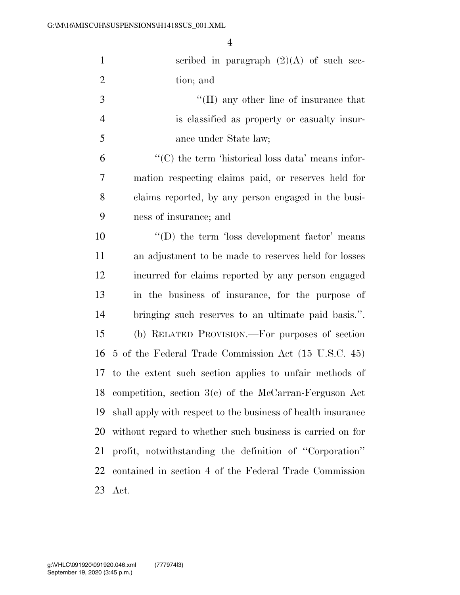| $\mathbf{1}$   | scribed in paragraph $(2)(A)$ of such sec-                             |
|----------------|------------------------------------------------------------------------|
| $\overline{2}$ | tion; and                                                              |
| 3              | "(II) any other line of insurance that                                 |
| $\overline{4}$ | is classified as property or casualty insur-                           |
| 5              | ance under State law;                                                  |
| 6              | $\lq\lq$ <sup>*</sup> (C) the term 'historical loss data' means infor- |
| 7              | mation respecting claims paid, or reserves held for                    |
| 8              | claims reported, by any person engaged in the busi-                    |
| 9              | ness of insurance; and                                                 |
| 10             | $\lq\lq$ the term 'loss development factor' means                      |
| 11             | an adjustment to be made to reserves held for losses                   |
| 12             | incurred for claims reported by any person engaged                     |
| 13             | in the business of insurance, for the purpose of                       |
| 14             | bringing such reserves to an ultimate paid basis.".                    |
| 15             | (b) RELATED PROVISION.—For purposes of section                         |
| 16             | 5 of the Federal Trade Commission Act (15 U.S.C. 45)                   |
|                | 17 to the extent such section applies to unfair methods of             |
|                | 18 competition, section $3(c)$ of the McCarran-Ferguson Act            |
| 19             | shall apply with respect to the business of health insurance           |
| 20             | without regard to whether such business is carried on for              |
| 21             | profit, notwithstanding the definition of "Corporation"                |
| 22             | contained in section 4 of the Federal Trade Commission                 |
| 23             | Act.                                                                   |